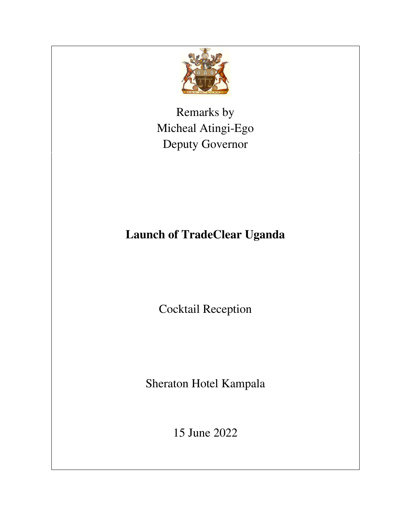

Remarks by Micheal Atingi-Ego Deputy Governor

## **Launch of TradeClear Uganda**

Cocktail Reception

Sheraton Hotel Kampala

15 June 2022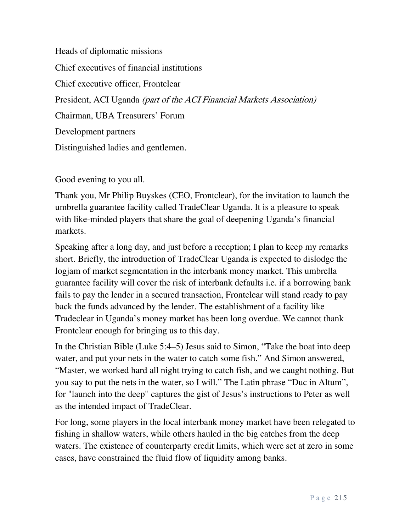Heads of diplomatic missions Chief executives of financial institutions Chief executive officer, Frontclear President, ACI Uganda (part of the ACI Financial Markets Association) Chairman, UBA Treasurers' Forum Development partners Distinguished ladies and gentlemen.

Good evening to you all.

Thank you, Mr Philip Buyskes (CEO, Frontclear), for the invitation to launch the umbrella guarantee facility called TradeClear Uganda. It is a pleasure to speak with like-minded players that share the goal of deepening Uganda's financial markets.

Speaking after a long day, and just before a reception; I plan to keep my remarks short. Briefly, the introduction of TradeClear Uganda is expected to dislodge the logjam of market segmentation in the interbank money market. This umbrella guarantee facility will cover the risk of interbank defaults i.e. if a borrowing bank fails to pay the lender in a secured transaction, Frontclear will stand ready to pay back the funds advanced by the lender. The establishment of a facility like Tradeclear in Uganda's money market has been long overdue. We cannot thank Frontclear enough for bringing us to this day.

In the Christian Bible (Luke 5:4–5) Jesus said to Simon, "Take the boat into deep water, and put your nets in the water to catch some fish." And Simon answered, "Master, we worked hard all night trying to catch fish, and we caught nothing. But you say to put the nets in the water, so I will." The Latin phrase "Duc in Altum", for "launch into the deep" captures the gist of Jesus's instructions to Peter as well as the intended impact of TradeClear.

For long, some players in the local interbank money market have been relegated to fishing in shallow waters, while others hauled in the big catches from the deep waters. The existence of counterparty credit limits, which were set at zero in some cases, have constrained the fluid flow of liquidity among banks.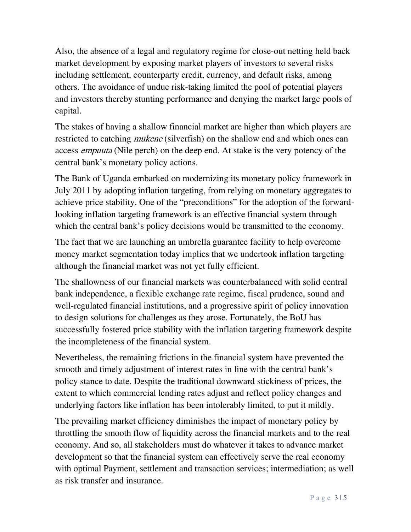Also, the absence of a legal and regulatory regime for close-out netting held back market development by exposing market players of investors to several risks including settlement, counterparty credit, currency, and default risks, among others. The avoidance of undue risk-taking limited the pool of potential players and investors thereby stunting performance and denying the market large pools of capital.

The stakes of having a shallow financial market are higher than which players are restricted to catching *mukene* (silverfish) on the shallow end and which ones can access empuuta (Nile perch) on the deep end. At stake is the very potency of the central bank's monetary policy actions.

The Bank of Uganda embarked on modernizing its monetary policy framework in July 2011 by adopting inflation targeting, from relying on monetary aggregates to achieve price stability. One of the "preconditions" for the adoption of the forwardlooking inflation targeting framework is an effective financial system through which the central bank's policy decisions would be transmitted to the economy.

The fact that we are launching an umbrella guarantee facility to help overcome money market segmentation today implies that we undertook inflation targeting although the financial market was not yet fully efficient.

The shallowness of our financial markets was counterbalanced with solid central bank independence, a flexible exchange rate regime, fiscal prudence, sound and well-regulated financial institutions, and a progressive spirit of policy innovation to design solutions for challenges as they arose. Fortunately, the BoU has successfully fostered price stability with the inflation targeting framework despite the incompleteness of the financial system.

Nevertheless, the remaining frictions in the financial system have prevented the smooth and timely adjustment of interest rates in line with the central bank's policy stance to date. Despite the traditional downward stickiness of prices, the extent to which commercial lending rates adjust and reflect policy changes and underlying factors like inflation has been intolerably limited, to put it mildly.

The prevailing market efficiency diminishes the impact of monetary policy by throttling the smooth flow of liquidity across the financial markets and to the real economy. And so, all stakeholders must do whatever it takes to advance market development so that the financial system can effectively serve the real economy with optimal Payment, settlement and transaction services; intermediation; as well as risk transfer and insurance.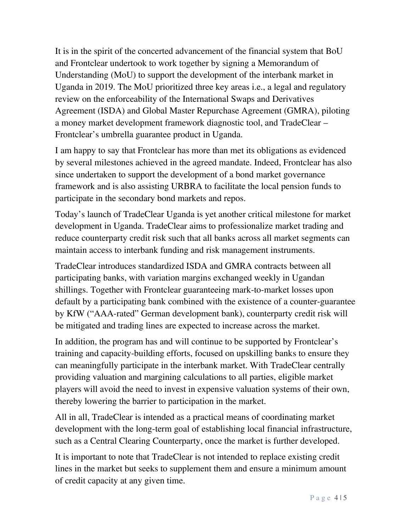It is in the spirit of the concerted advancement of the financial system that BoU and Frontclear undertook to work together by signing a Memorandum of Understanding (MoU) to support the development of the interbank market in Uganda in 2019. The MoU prioritized three key areas i.e., a legal and regulatory review on the enforceability of the International Swaps and Derivatives Agreement (ISDA) and Global Master Repurchase Agreement (GMRA), piloting a money market development framework diagnostic tool, and TradeClear – Frontclear's umbrella guarantee product in Uganda.

I am happy to say that Frontclear has more than met its obligations as evidenced by several milestones achieved in the agreed mandate. Indeed, Frontclear has also since undertaken to support the development of a bond market governance framework and is also assisting URBRA to facilitate the local pension funds to participate in the secondary bond markets and repos.

Today's launch of TradeClear Uganda is yet another critical milestone for market development in Uganda. TradeClear aims to professionalize market trading and reduce counterparty credit risk such that all banks across all market segments can maintain access to interbank funding and risk management instruments.

TradeClear introduces standardized ISDA and GMRA contracts between all participating banks, with variation margins exchanged weekly in Ugandan shillings. Together with Frontclear guaranteeing mark-to-market losses upon default by a participating bank combined with the existence of a counter-guarantee by KfW ("AAA-rated" German development bank), counterparty credit risk will be mitigated and trading lines are expected to increase across the market.

In addition, the program has and will continue to be supported by Frontclear's training and capacity-building efforts, focused on upskilling banks to ensure they can meaningfully participate in the interbank market. With TradeClear centrally providing valuation and margining calculations to all parties, eligible market players will avoid the need to invest in expensive valuation systems of their own, thereby lowering the barrier to participation in the market.

All in all, TradeClear is intended as a practical means of coordinating market development with the long-term goal of establishing local financial infrastructure, such as a Central Clearing Counterparty, once the market is further developed.

It is important to note that TradeClear is not intended to replace existing credit lines in the market but seeks to supplement them and ensure a minimum amount of credit capacity at any given time.